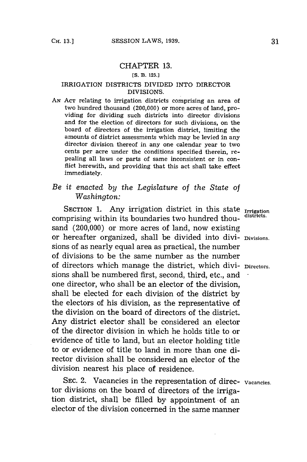## CHAPTER **13.**

## **[S. B. 125.1**

## IRRIGATION DISTRICTS DIVIDED INTO DIRECTOR DIVISIONS.

**AN ACT** relating to irrigation districts comprising an area of two hundred thousand (200,000) or more acres of land, providing for dividing such districts into director divisions and for the election of directors for such divisions, on the board of directors of the irrigation district, limiting the amounts of district assessments which may be levied in any director division thereof in any one calendar year to two cents per acre under the conditions specified therein, repealing all laws or parts of same inconsistent or in conflict herewith, and providing that this act shall take effect immediately.

## *Be it enacted by the Legislature of the State of Washington:*

SECTION 1. Any irrigation district in this state **Irrigation** comprising within its boundaries two hundred thousand (200,000) or more acres of land, now existing or hereafter organized, shall be divided into divi- **Divisions.** sions of as nearly equal area as practical, the number of divisions to be the same number as the number of directors which manage the district, which divi- **Directors.** sions shall be numbered first, second, third, etc., and one director, who shall be an elector of the division, shall be elected for each division of the district **by** the electors of his division, as the representative of the division on the board of directors of the district. Any district elector shall be considered an elector of the director division in which he holds title to or evidence of title to land, but an elector holding title to or evidence of title to land in more than one director division shall be considered an elector of the division nearest his place of residence.

**SEC.** 2. Vacancies in the representation of direc- **Vacancies.** tor divisions on the board of directors of the irrigation district, shall be filled **by** appointment -of an elector of the division concerned in the same manner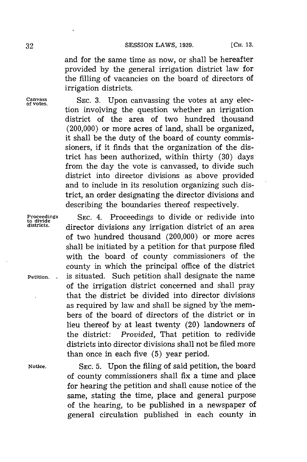and for the same time as now, or shall be hereafter provided **by** the general irrigation district law for the filling of vacancies on the board of directors of irrigation districts.

**Canvass SEC. 3.** Upon canvassing the votes at any elec- **of votes.** tion involving the question whether an irrigation district of the area of two hundred thousand (200,000) or more acres of land, shall be organized, it shall be the duty of the board of county commissioners, if it finds that the organization of the district has been authorized, within thirty **(30)** days from the day the vote is canvassed, to divide such district into director divisions as above provided and to include in its resolution organizing such district, an order designating the director divisions and describing the boundaries thereof respectively.

**Proceedings** SEC. 4. Proceedings to divide or redivide into divide into divide into director divisions any irrigation district of an area director divisions any irrigation district of an area of two hundred thousand (200,000) or more acres shall be initiated **by** a petition for that purpose filed with the board of county commissioners of the county in which the principal office of the district **Petition.** . is situated. Such petition shall designate the name of the irrigation district concerned and shall pray that the district be divided into director divisions as required by law and shall be signed by the members of the board of directors of the district or in lieu thereof **by** at least twenty (20) landowners of the district: *Provided,* That petition to redivide districts into director divisions shall not be filed more than once in each five **(5)** year period.

**Notice. SEC. 5.** Upon the filing of said petition, the board of county commissioners shall fix a time and place for hearing the petition and shall cause notice of the same, stating the time, place and general purpose of the hearing, to be published in a newspaper of general circulation published in each county in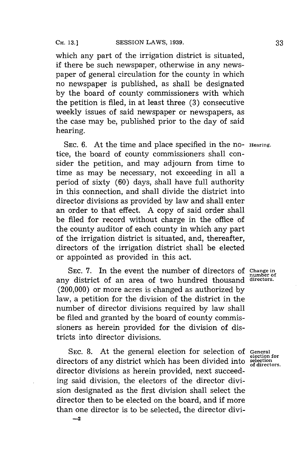**-2**

which any part of the irrigation district is situated, if there be such newspaper, otherwise in any newspaper of general circulation for the county in which no newspaper is published, as shall be designated **by** the board of county commissioners with which the petition is filed, in at least three **(3)** consecutive weekly issues of said newspaper or newspapers, as the case may be, published prior to the day of said hearing.

**SEC. 6.** At the time and place specified in the no- **Hearing.** tice, the board of county commissioners shall consider the petition, and may adjourn from time to time as may be necessary, not exceeding in all a period of sixty **(60)** days, shall have full authority in this connection, and shall divide the district into director divisions as provided **by** law and shall enter an order to that effect. **A** copy of said order shall be filed for record without charge in the office of the county auditor of each county in which any part of the irrigation district is situated, and, thereafter, directors of the irrigation district shall be elected or appointed as provided in this act.

**SEC. 7.** In the event the number of directors of **Change in** any district of an area of two hundred thousand (200,000) or more acres is changed as authorized **by** law, a petition for the division of the district in the number of director divisions required **by** law shall be filed and granted **by** the board of county commissioners as herein provided for the division of districts into director divisions.

**SEC. 8.** At the general election for selection **of General** directors of any district which has been divided into director divisions as herein provided, next succeeding said division, the electors of the director division designated as the first division shall select the director then to be elected on the board, and if more than one director is to be selected, the director divi-

**number of**

**election for**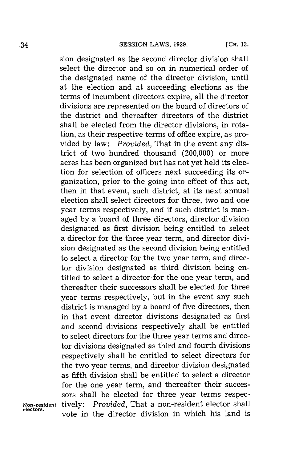sion designated as the second director division shall select the director and so on in numerical order of the designated name of the director division, until at the election and at succeeding elections as the terms of incumbent directors expire, all the director divisions are represented on the board of directors of the district and thereafter directors of the district shall be elected from the director divisions, in rotation, as their respective terms of office expire, as provided **by** law: *Provided,* That in the event any district of two hundred thousand (200,000) or more acres has been organized but has not yet held its election for selection of officers next succeeding its organization, prior to the going into effect of this act, then in that event, such district, at its next annual election shall select directors for three, two and one year terms respectively, and if such district is managed **by** a board of three directors, director division designated as first division being entitled to select a director for the three year term, and director division designated as the second division being entitled to select a director for the two year term, and director division designated as third division being entitled to select a director for the one year term, and thereafter their successors shall be elected for three year terms respectively, but in the event any such district is managed **by** a board of five directors, then in that event director divisions designated as first and second divisions respectively shall be entitled to select directors for the three year terms and director divisions designated as third and fourth divisions respectively shall be entitled to select directors for the two year terms, and director division designated as fifth division shall be entitled to select a director for the one year term, and thereafter their successors shall be elected for three year terms respec-**Non-resident** tively: *Provided,* That a non-resident elector shall vote in the director division in which his land is

**electors.**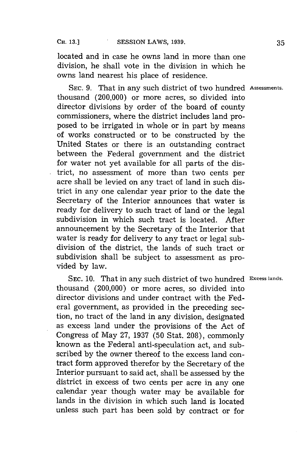located and in case he owns land in more than one division, he shall vote in the division in which he owns land nearest his place of residence.

**SEC. 9.** That in any such district of two hundred **Assessments.** thousand (200,000) or more acres, so divided into director divisions **by** order of the board of county commissioners, where the district includes land proposed to be irrigated in whole or in part **by** means of works constructed or to be constructed **by** the United States or there is an outstanding contract between the Federal government and the district for water not yet available for all parts of the district, no assessment of more than two cents per acre shall be levied on any tract of land in such district in any one calendar year prior to the date the Secretary of the Interior announces that water is ready for delivery to such tract of land or the legal subdivision in which such tract is located. After announcement **by** the Secretary of the Interior that water is ready for delivery to any tract or legal subdivision of the district, the lands of such tract or subdivision shall be subject to assessment as provided **by** law.

**SEC. 10.** That in any such district of two hundred **Excess lands.** thousand (200,000) or more acres, so divided into director divisions and under contract with the Federal government, as provided in the preceding section, no tract of the land in any division, designated as excess land under the provisions of the Act of Congress of May **27, 1937 (50** Stat. **208),** commonly known as the Federal anti-speculation act, and subscribed **by** the owner thereof to the excess land contract form approved therefor **by** the Secretary of the Interior pursuant to said act, shall be assessed **by** the district in excess of two cents per acre in any one calendar year though water may be available for lands in the division in which such land is located unless such part has been sold **by** contract or for